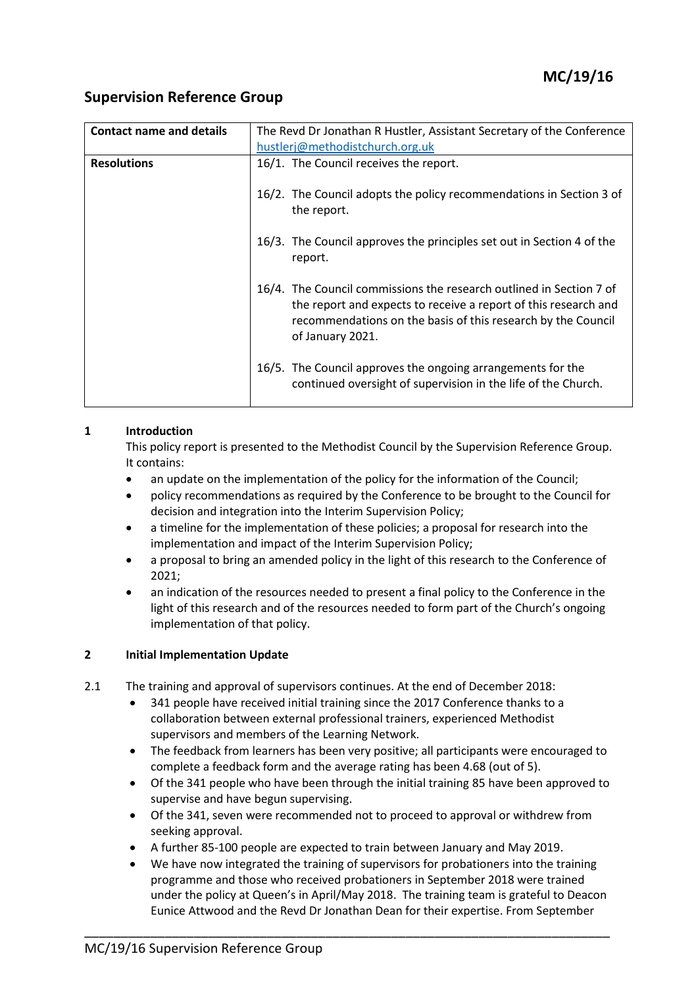# **Supervision Reference Group**

| <b>Contact name and details</b> | The Revd Dr Jonathan R Hustler, Assistant Secretary of the Conference                                                                                                                                                      |  |  |
|---------------------------------|----------------------------------------------------------------------------------------------------------------------------------------------------------------------------------------------------------------------------|--|--|
|                                 | hustlerj@methodistchurch.org.uk                                                                                                                                                                                            |  |  |
| <b>Resolutions</b>              | 16/1. The Council receives the report.                                                                                                                                                                                     |  |  |
|                                 | 16/2. The Council adopts the policy recommendations in Section 3 of<br>the report.                                                                                                                                         |  |  |
|                                 | 16/3. The Council approves the principles set out in Section 4 of the<br>report.                                                                                                                                           |  |  |
|                                 | 16/4. The Council commissions the research outlined in Section 7 of<br>the report and expects to receive a report of this research and<br>recommendations on the basis of this research by the Council<br>of January 2021. |  |  |
|                                 | 16/5. The Council approves the ongoing arrangements for the<br>continued oversight of supervision in the life of the Church.                                                                                               |  |  |

### **1 Introduction**

This policy report is presented to the Methodist Council by the Supervision Reference Group. It contains:

- an update on the implementation of the policy for the information of the Council;
- policy recommendations as required by the Conference to be brought to the Council for decision and integration into the Interim Supervision Policy;
- a timeline for the implementation of these policies; a proposal for research into the implementation and impact of the Interim Supervision Policy;
- a proposal to bring an amended policy in the light of this research to the Conference of 2021;
- an indication of the resources needed to present a final policy to the Conference in the light of this research and of the resources needed to form part of the Church's ongoing implementation of that policy.

### **2 Initial Implementation Update**

- 2.1 The training and approval of supervisors continues. At the end of December 2018:
	- 341 people have received initial training since the 2017 Conference thanks to a collaboration between external professional trainers, experienced Methodist supervisors and members of the Learning Network.
	- The feedback from learners has been very positive; all participants were encouraged to complete a feedback form and the average rating has been 4.68 (out of 5).
	- Of the 341 people who have been through the initial training 85 have been approved to supervise and have begun supervising.
	- Of the 341, seven were recommended not to proceed to approval or withdrew from seeking approval.
	- A further 85-100 people are expected to train between January and May 2019.

\_\_\_\_\_\_\_\_\_\_\_\_\_\_\_\_\_\_\_\_\_\_\_\_\_\_\_\_\_\_\_\_\_\_\_\_\_\_\_\_\_\_\_\_\_\_\_\_\_\_\_\_\_\_\_\_\_\_\_\_\_\_\_\_\_\_\_\_\_\_\_\_

 We have now integrated the training of supervisors for probationers into the training programme and those who received probationers in September 2018 were trained under the policy at Queen's in April/May 2018. The training team is grateful to Deacon Eunice Attwood and the Revd Dr Jonathan Dean for their expertise. From September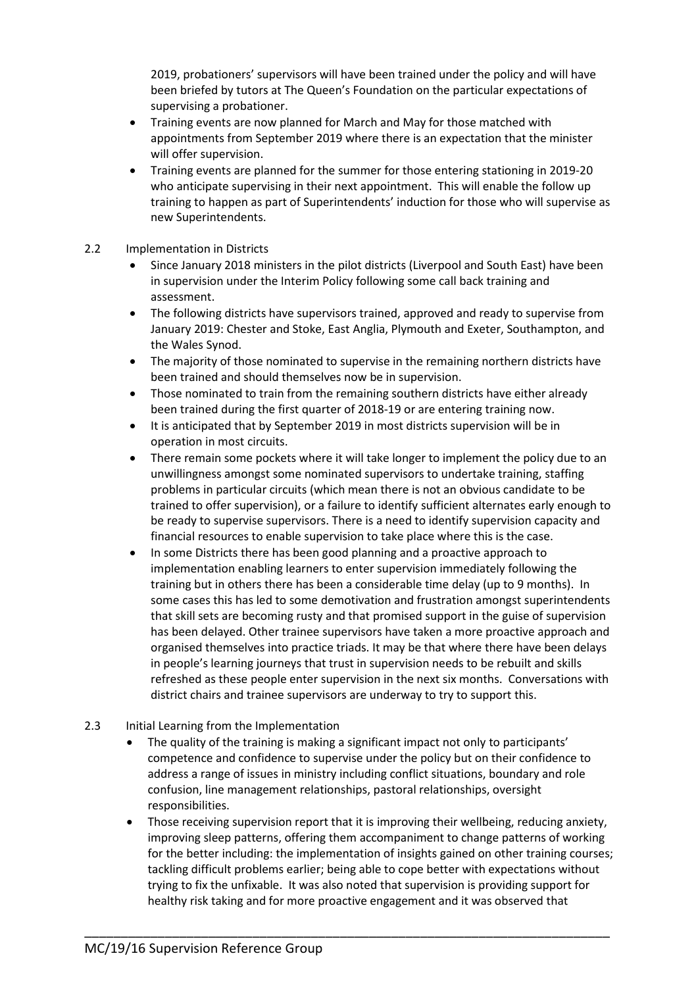2019, probationers' supervisors will have been trained under the policy and will have been briefed by tutors at The Queen's Foundation on the particular expectations of supervising a probationer.

- Training events are now planned for March and May for those matched with appointments from September 2019 where there is an expectation that the minister will offer supervision.
- Training events are planned for the summer for those entering stationing in 2019-20 who anticipate supervising in their next appointment. This will enable the follow up training to happen as part of Superintendents' induction for those who will supervise as new Superintendents.

### 2.2 Implementation in Districts

- Since January 2018 ministers in the pilot districts (Liverpool and South East) have been in supervision under the Interim Policy following some call back training and assessment.
- The following districts have supervisors trained, approved and ready to supervise from January 2019: Chester and Stoke, East Anglia, Plymouth and Exeter, Southampton, and the Wales Synod.
- The majority of those nominated to supervise in the remaining northern districts have been trained and should themselves now be in supervision.
- Those nominated to train from the remaining southern districts have either already been trained during the first quarter of 2018-19 or are entering training now.
- It is anticipated that by September 2019 in most districts supervision will be in operation in most circuits.
- There remain some pockets where it will take longer to implement the policy due to an unwillingness amongst some nominated supervisors to undertake training, staffing problems in particular circuits (which mean there is not an obvious candidate to be trained to offer supervision), or a failure to identify sufficient alternates early enough to be ready to supervise supervisors. There is a need to identify supervision capacity and financial resources to enable supervision to take place where this is the case.
- In some Districts there has been good planning and a proactive approach to implementation enabling learners to enter supervision immediately following the training but in others there has been a considerable time delay (up to 9 months). In some cases this has led to some demotivation and frustration amongst superintendents that skill sets are becoming rusty and that promised support in the guise of supervision has been delayed. Other trainee supervisors have taken a more proactive approach and organised themselves into practice triads. It may be that where there have been delays in people's learning journeys that trust in supervision needs to be rebuilt and skills refreshed as these people enter supervision in the next six months. Conversations with district chairs and trainee supervisors are underway to try to support this.
- 2.3 Initial Learning from the Implementation
	- The quality of the training is making a significant impact not only to participants' competence and confidence to supervise under the policy but on their confidence to address a range of issues in ministry including conflict situations, boundary and role confusion, line management relationships, pastoral relationships, oversight responsibilities.
	- Those receiving supervision report that it is improving their wellbeing, reducing anxiety, improving sleep patterns, offering them accompaniment to change patterns of working for the better including: the implementation of insights gained on other training courses; tackling difficult problems earlier; being able to cope better with expectations without trying to fix the unfixable. It was also noted that supervision is providing support for healthy risk taking and for more proactive engagement and it was observed that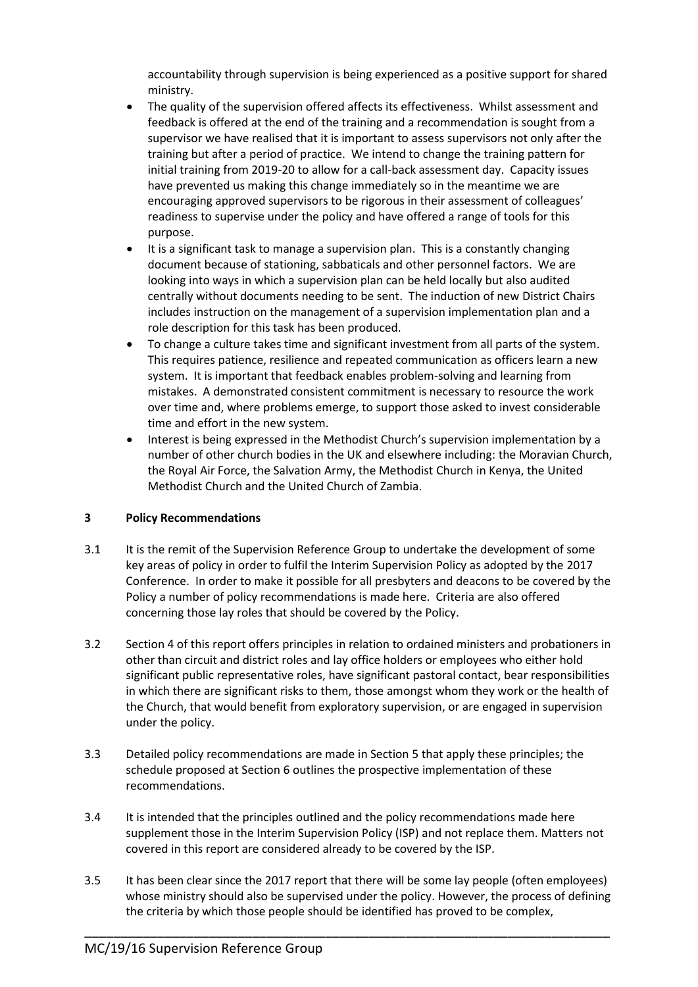accountability through supervision is being experienced as a positive support for shared ministry.

- The quality of the supervision offered affects its effectiveness. Whilst assessment and feedback is offered at the end of the training and a recommendation is sought from a supervisor we have realised that it is important to assess supervisors not only after the training but after a period of practice. We intend to change the training pattern for initial training from 2019-20 to allow for a call-back assessment day. Capacity issues have prevented us making this change immediately so in the meantime we are encouraging approved supervisors to be rigorous in their assessment of colleagues' readiness to supervise under the policy and have offered a range of tools for this purpose.
- It is a significant task to manage a supervision plan. This is a constantly changing document because of stationing, sabbaticals and other personnel factors. We are looking into ways in which a supervision plan can be held locally but also audited centrally without documents needing to be sent. The induction of new District Chairs includes instruction on the management of a supervision implementation plan and a role description for this task has been produced.
- To change a culture takes time and significant investment from all parts of the system. This requires patience, resilience and repeated communication as officers learn a new system. It is important that feedback enables problem-solving and learning from mistakes. A demonstrated consistent commitment is necessary to resource the work over time and, where problems emerge, to support those asked to invest considerable time and effort in the new system.
- Interest is being expressed in the Methodist Church's supervision implementation by a number of other church bodies in the UK and elsewhere including: the Moravian Church, the Royal Air Force, the Salvation Army, the Methodist Church in Kenya, the United Methodist Church and the United Church of Zambia.

### **3 Policy Recommendations**

- 3.1 It is the remit of the Supervision Reference Group to undertake the development of some key areas of policy in order to fulfil the Interim Supervision Policy as adopted by the 2017 Conference. In order to make it possible for all presbyters and deacons to be covered by the Policy a number of policy recommendations is made here. Criteria are also offered concerning those lay roles that should be covered by the Policy.
- 3.2 Section 4 of this report offers principles in relation to ordained ministers and probationers in other than circuit and district roles and lay office holders or employees who either hold significant public representative roles, have significant pastoral contact, bear responsibilities in which there are significant risks to them, those amongst whom they work or the health of the Church, that would benefit from exploratory supervision, or are engaged in supervision under the policy.
- 3.3 Detailed policy recommendations are made in Section 5 that apply these principles; the schedule proposed at Section 6 outlines the prospective implementation of these recommendations.
- 3.4 It is intended that the principles outlined and the policy recommendations made here supplement those in the Interim Supervision Policy (ISP) and not replace them. Matters not covered in this report are considered already to be covered by the ISP.
- 3.5 It has been clear since the 2017 report that there will be some lay people (often employees) whose ministry should also be supervised under the policy. However, the process of defining the criteria by which those people should be identified has proved to be complex,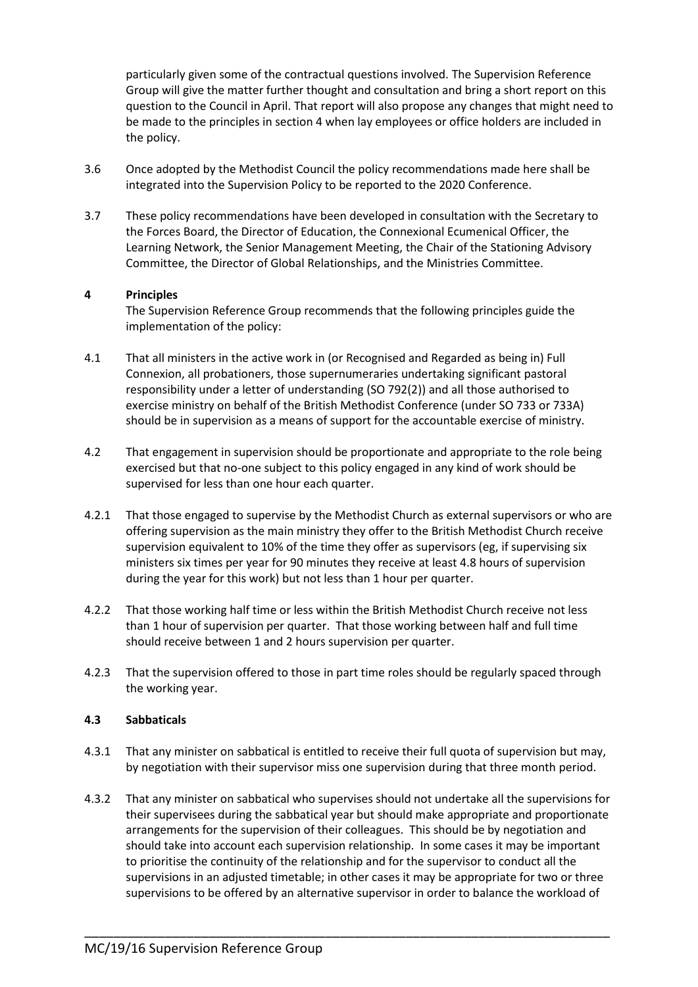particularly given some of the contractual questions involved. The Supervision Reference Group will give the matter further thought and consultation and bring a short report on this question to the Council in April. That report will also propose any changes that might need to be made to the principles in section 4 when lay employees or office holders are included in the policy.

- 3.6 Once adopted by the Methodist Council the policy recommendations made here shall be integrated into the Supervision Policy to be reported to the 2020 Conference.
- 3.7 These policy recommendations have been developed in consultation with the Secretary to the Forces Board, the Director of Education, the Connexional Ecumenical Officer, the Learning Network, the Senior Management Meeting, the Chair of the Stationing Advisory Committee, the Director of Global Relationships, and the Ministries Committee.

### **4 Principles**

The Supervision Reference Group recommends that the following principles guide the implementation of the policy:

- 4.1 That all ministers in the active work in (or Recognised and Regarded as being in) Full Connexion, all probationers, those supernumeraries undertaking significant pastoral responsibility under a letter of understanding (SO 792(2)) and all those authorised to exercise ministry on behalf of the British Methodist Conference (under SO 733 or 733A) should be in supervision as a means of support for the accountable exercise of ministry.
- 4.2 That engagement in supervision should be proportionate and appropriate to the role being exercised but that no-one subject to this policy engaged in any kind of work should be supervised for less than one hour each quarter.
- 4.2.1 That those engaged to supervise by the Methodist Church as external supervisors or who are offering supervision as the main ministry they offer to the British Methodist Church receive supervision equivalent to 10% of the time they offer as supervisors (eg, if supervising six ministers six times per year for 90 minutes they receive at least 4.8 hours of supervision during the year for this work) but not less than 1 hour per quarter.
- 4.2.2 That those working half time or less within the British Methodist Church receive not less than 1 hour of supervision per quarter. That those working between half and full time should receive between 1 and 2 hours supervision per quarter.
- 4.2.3 That the supervision offered to those in part time roles should be regularly spaced through the working year.

#### **4.3 Sabbaticals**

- 4.3.1 That any minister on sabbatical is entitled to receive their full quota of supervision but may, by negotiation with their supervisor miss one supervision during that three month period.
- 4.3.2 That any minister on sabbatical who supervises should not undertake all the supervisions for their supervisees during the sabbatical year but should make appropriate and proportionate arrangements for the supervision of their colleagues. This should be by negotiation and should take into account each supervision relationship. In some cases it may be important to prioritise the continuity of the relationship and for the supervisor to conduct all the supervisions in an adjusted timetable; in other cases it may be appropriate for two or three supervisions to be offered by an alternative supervisor in order to balance the workload of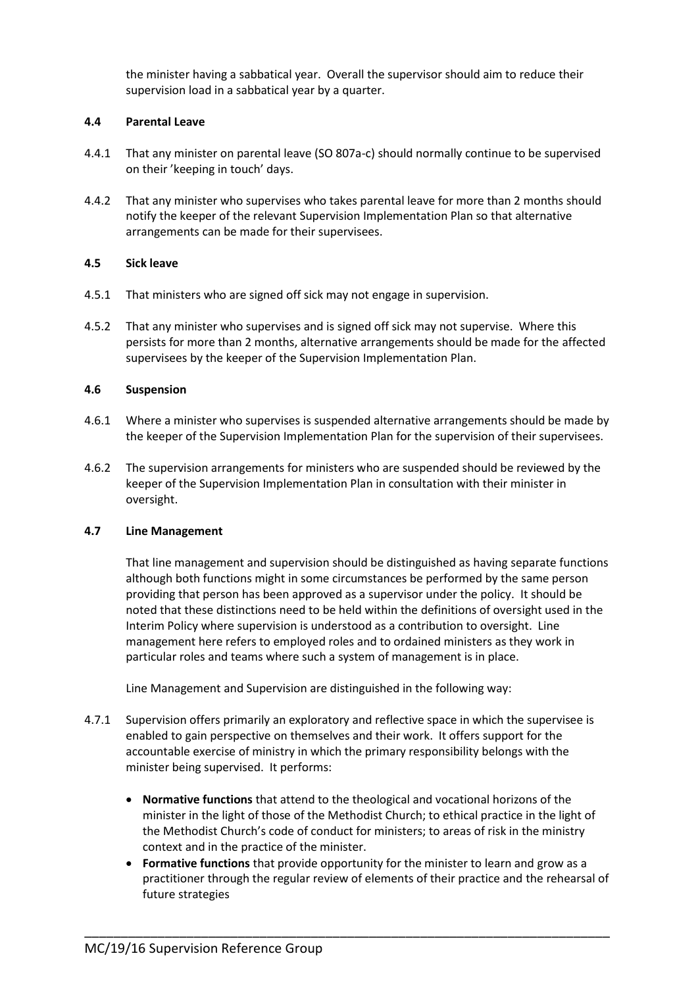the minister having a sabbatical year. Overall the supervisor should aim to reduce their supervision load in a sabbatical year by a quarter.

#### **4.4 Parental Leave**

- 4.4.1 That any minister on parental leave (SO 807a-c) should normally continue to be supervised on their 'keeping in touch' days.
- 4.4.2 That any minister who supervises who takes parental leave for more than 2 months should notify the keeper of the relevant Supervision Implementation Plan so that alternative arrangements can be made for their supervisees.

#### **4.5 Sick leave**

- 4.5.1 That ministers who are signed off sick may not engage in supervision.
- 4.5.2 That any minister who supervises and is signed off sick may not supervise. Where this persists for more than 2 months, alternative arrangements should be made for the affected supervisees by the keeper of the Supervision Implementation Plan.

#### **4.6 Suspension**

- 4.6.1 Where a minister who supervises is suspended alternative arrangements should be made by the keeper of the Supervision Implementation Plan for the supervision of their supervisees.
- 4.6.2 The supervision arrangements for ministers who are suspended should be reviewed by the keeper of the Supervision Implementation Plan in consultation with their minister in oversight.

#### **4.7 Line Management**

That line management and supervision should be distinguished as having separate functions although both functions might in some circumstances be performed by the same person providing that person has been approved as a supervisor under the policy. It should be noted that these distinctions need to be held within the definitions of oversight used in the Interim Policy where supervision is understood as a contribution to oversight. Line management here refers to employed roles and to ordained ministers as they work in particular roles and teams where such a system of management is in place.

Line Management and Supervision are distinguished in the following way:

- 4.7.1 Supervision offers primarily an exploratory and reflective space in which the supervisee is enabled to gain perspective on themselves and their work. It offers support for the accountable exercise of ministry in which the primary responsibility belongs with the minister being supervised. It performs:
	- **Normative functions** that attend to the theological and vocational horizons of the minister in the light of those of the Methodist Church; to ethical practice in the light of the Methodist Church's code of conduct for ministers; to areas of risk in the ministry context and in the practice of the minister.
	- **Formative functions** that provide opportunity for the minister to learn and grow as a practitioner through the regular review of elements of their practice and the rehearsal of future strategies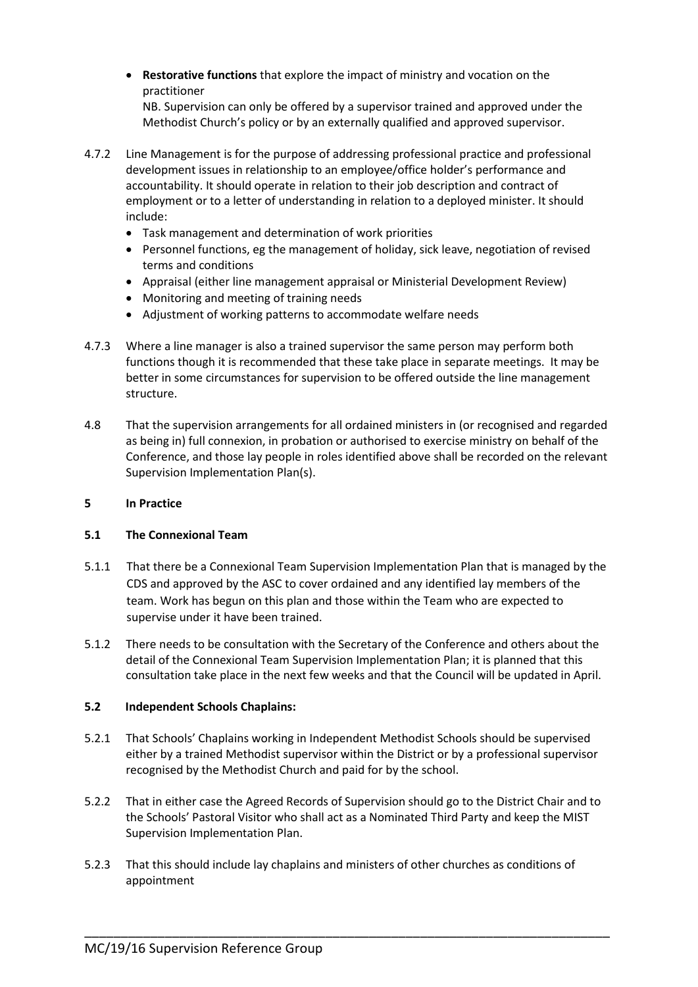**Restorative functions** that explore the impact of ministry and vocation on the practitioner

NB. Supervision can only be offered by a supervisor trained and approved under the Methodist Church's policy or by an externally qualified and approved supervisor.

- 4.7.2 Line Management is for the purpose of addressing professional practice and professional development issues in relationship to an employee/office holder's performance and accountability. It should operate in relation to their job description and contract of employment or to a letter of understanding in relation to a deployed minister. It should include:
	- Task management and determination of work priorities
	- Personnel functions, eg the management of holiday, sick leave, negotiation of revised terms and conditions
	- Appraisal (either line management appraisal or Ministerial Development Review)
	- Monitoring and meeting of training needs
	- Adjustment of working patterns to accommodate welfare needs
- 4.7.3 Where a line manager is also a trained supervisor the same person may perform both functions though it is recommended that these take place in separate meetings. It may be better in some circumstances for supervision to be offered outside the line management structure.
- 4.8 That the supervision arrangements for all ordained ministers in (or recognised and regarded as being in) full connexion, in probation or authorised to exercise ministry on behalf of the Conference, and those lay people in roles identified above shall be recorded on the relevant Supervision Implementation Plan(s).

### **5 In Practice**

### **5.1 The Connexional Team**

- 5.1.1 That there be a Connexional Team Supervision Implementation Plan that is managed by the CDS and approved by the ASC to cover ordained and any identified lay members of the team. Work has begun on this plan and those within the Team who are expected to supervise under it have been trained.
- 5.1.2 There needs to be consultation with the Secretary of the Conference and others about the detail of the Connexional Team Supervision Implementation Plan; it is planned that this consultation take place in the next few weeks and that the Council will be updated in April.

### **5.2 Independent Schools Chaplains:**

- 5.2.1 That Schools' Chaplains working in Independent Methodist Schools should be supervised either by a trained Methodist supervisor within the District or by a professional supervisor recognised by the Methodist Church and paid for by the school.
- 5.2.2 That in either case the Agreed Records of Supervision should go to the District Chair and to the Schools' Pastoral Visitor who shall act as a Nominated Third Party and keep the MIST Supervision Implementation Plan.

\_\_\_\_\_\_\_\_\_\_\_\_\_\_\_\_\_\_\_\_\_\_\_\_\_\_\_\_\_\_\_\_\_\_\_\_\_\_\_\_\_\_\_\_\_\_\_\_\_\_\_\_\_\_\_\_\_\_\_\_\_\_\_\_\_\_\_\_\_\_\_\_

5.2.3 That this should include lay chaplains and ministers of other churches as conditions of appointment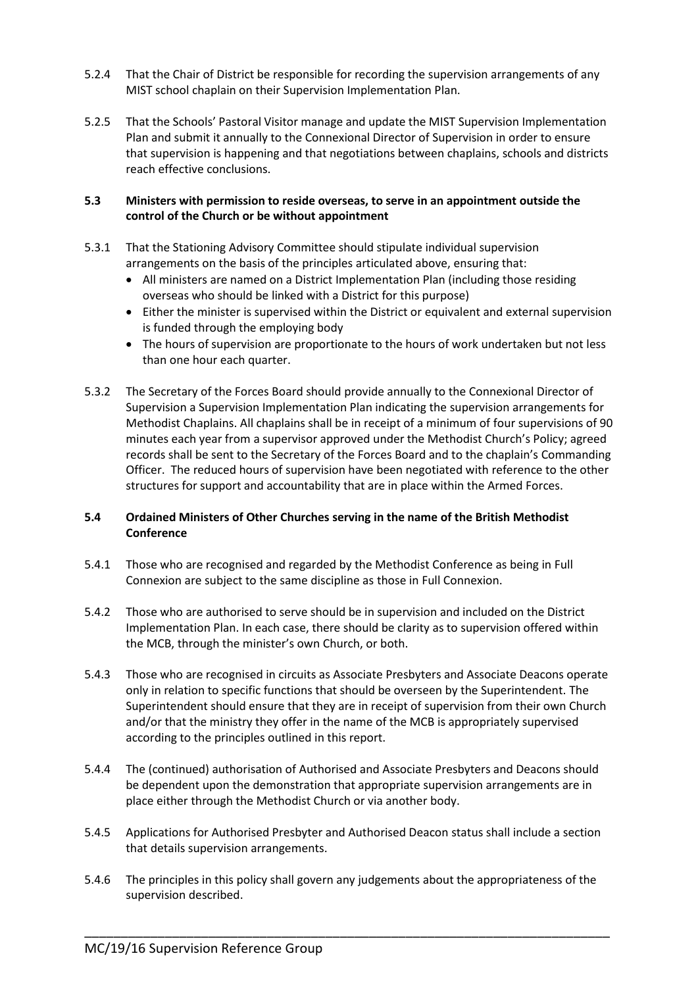- 5.2.4 That the Chair of District be responsible for recording the supervision arrangements of any MIST school chaplain on their Supervision Implementation Plan.
- 5.2.5 That the Schools' Pastoral Visitor manage and update the MIST Supervision Implementation Plan and submit it annually to the Connexional Director of Supervision in order to ensure that supervision is happening and that negotiations between chaplains, schools and districts reach effective conclusions.

#### **5.3 Ministers with permission to reside overseas, to serve in an appointment outside the control of the Church or be without appointment**

- 5.3.1 That the Stationing Advisory Committee should stipulate individual supervision arrangements on the basis of the principles articulated above, ensuring that:
	- All ministers are named on a District Implementation Plan (including those residing overseas who should be linked with a District for this purpose)
	- Either the minister is supervised within the District or equivalent and external supervision is funded through the employing body
	- The hours of supervision are proportionate to the hours of work undertaken but not less than one hour each quarter.
- 5.3.2 The Secretary of the Forces Board should provide annually to the Connexional Director of Supervision a Supervision Implementation Plan indicating the supervision arrangements for Methodist Chaplains. All chaplains shall be in receipt of a minimum of four supervisions of 90 minutes each year from a supervisor approved under the Methodist Church's Policy; agreed records shall be sent to the Secretary of the Forces Board and to the chaplain's Commanding Officer. The reduced hours of supervision have been negotiated with reference to the other structures for support and accountability that are in place within the Armed Forces.

## **5.4 Ordained Ministers of Other Churches serving in the name of the British Methodist Conference**

- 5.4.1 Those who are recognised and regarded by the Methodist Conference as being in Full Connexion are subject to the same discipline as those in Full Connexion.
- 5.4.2 Those who are authorised to serve should be in supervision and included on the District Implementation Plan. In each case, there should be clarity as to supervision offered within the MCB, through the minister's own Church, or both.
- 5.4.3 Those who are recognised in circuits as Associate Presbyters and Associate Deacons operate only in relation to specific functions that should be overseen by the Superintendent. The Superintendent should ensure that they are in receipt of supervision from their own Church and/or that the ministry they offer in the name of the MCB is appropriately supervised according to the principles outlined in this report.
- 5.4.4 The (continued) authorisation of Authorised and Associate Presbyters and Deacons should be dependent upon the demonstration that appropriate supervision arrangements are in place either through the Methodist Church or via another body.
- 5.4.5 Applications for Authorised Presbyter and Authorised Deacon status shall include a section that details supervision arrangements.
- 5.4.6 The principles in this policy shall govern any judgements about the appropriateness of the supervision described.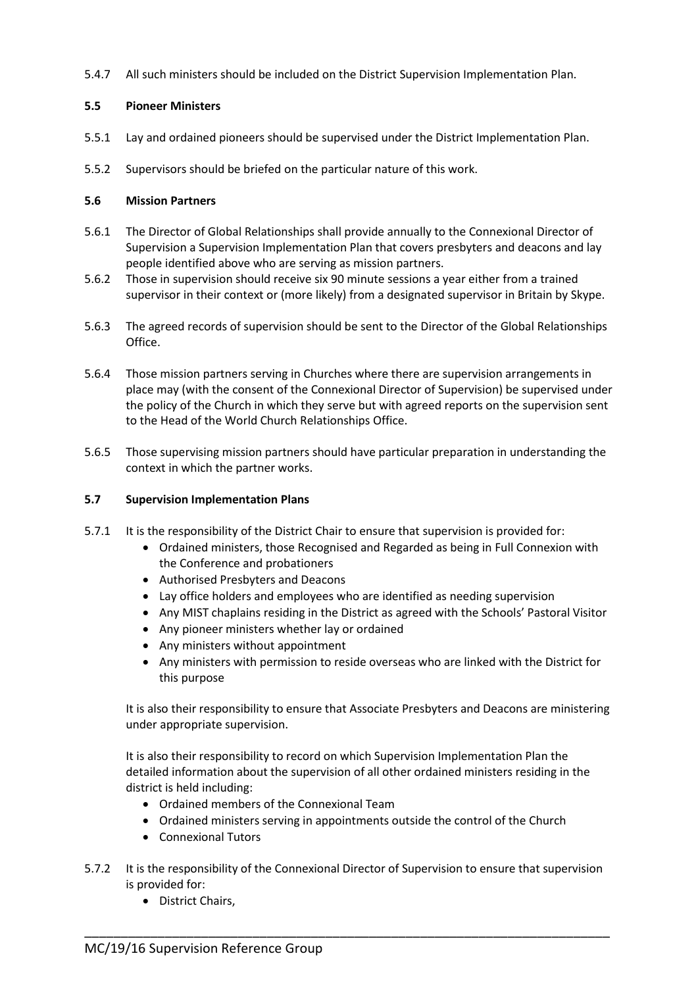5.4.7 All such ministers should be included on the District Supervision Implementation Plan.

## **5.5 Pioneer Ministers**

- 5.5.1 Lay and ordained pioneers should be supervised under the District Implementation Plan.
- 5.5.2 Supervisors should be briefed on the particular nature of this work.

### **5.6 Mission Partners**

- 5.6.1 The Director of Global Relationships shall provide annually to the Connexional Director of Supervision a Supervision Implementation Plan that covers presbyters and deacons and lay people identified above who are serving as mission partners.
- 5.6.2 Those in supervision should receive six 90 minute sessions a year either from a trained supervisor in their context or (more likely) from a designated supervisor in Britain by Skype.
- 5.6.3 The agreed records of supervision should be sent to the Director of the Global Relationships Office.
- 5.6.4 Those mission partners serving in Churches where there are supervision arrangements in place may (with the consent of the Connexional Director of Supervision) be supervised under the policy of the Church in which they serve but with agreed reports on the supervision sent to the Head of the World Church Relationships Office.
- 5.6.5 Those supervising mission partners should have particular preparation in understanding the context in which the partner works.

## **5.7 Supervision Implementation Plans**

- 5.7.1 It is the responsibility of the District Chair to ensure that supervision is provided for:
	- Ordained ministers, those Recognised and Regarded as being in Full Connexion with the Conference and probationers
	- Authorised Presbyters and Deacons
	- Lay office holders and employees who are identified as needing supervision
	- Any MIST chaplains residing in the District as agreed with the Schools' Pastoral Visitor
	- Any pioneer ministers whether lay or ordained
	- Any ministers without appointment
	- Any ministers with permission to reside overseas who are linked with the District for this purpose

It is also their responsibility to ensure that Associate Presbyters and Deacons are ministering under appropriate supervision.

It is also their responsibility to record on which Supervision Implementation Plan the detailed information about the supervision of all other ordained ministers residing in the district is held including:

- Ordained members of the Connexional Team
- Ordained ministers serving in appointments outside the control of the Church
- Connexional Tutors
- 5.7.2 It is the responsibility of the Connexional Director of Supervision to ensure that supervision is provided for:

\_\_\_\_\_\_\_\_\_\_\_\_\_\_\_\_\_\_\_\_\_\_\_\_\_\_\_\_\_\_\_\_\_\_\_\_\_\_\_\_\_\_\_\_\_\_\_\_\_\_\_\_\_\_\_\_\_\_\_\_\_\_\_\_\_\_\_\_\_\_\_\_

• District Chairs,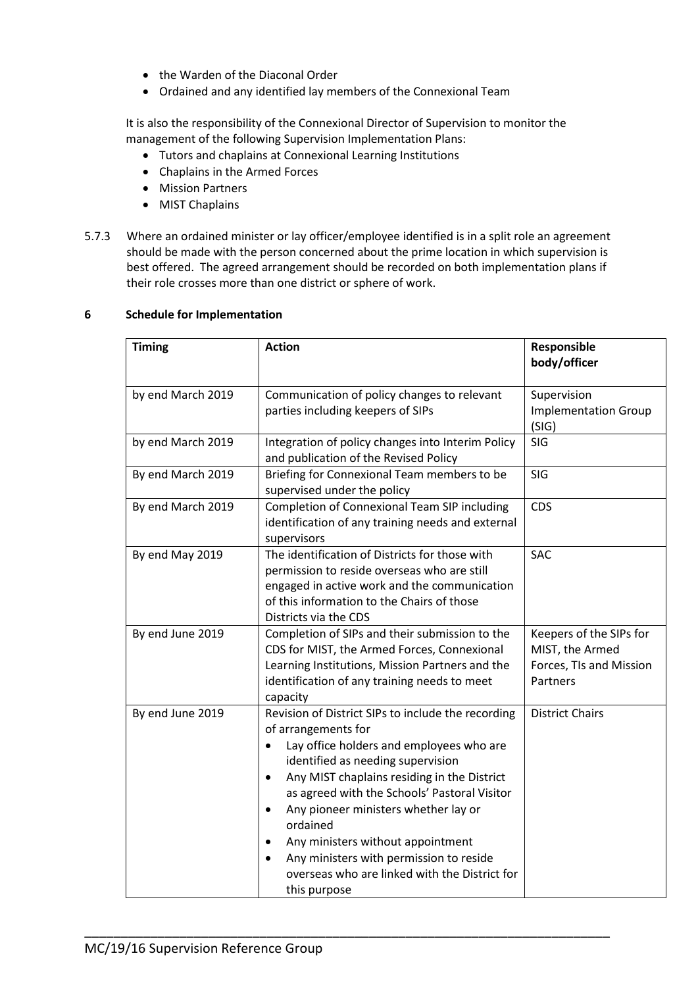- the Warden of the Diaconal Order
- Ordained and any identified lay members of the Connexional Team

It is also the responsibility of the Connexional Director of Supervision to monitor the management of the following Supervision Implementation Plans:

- Tutors and chaplains at Connexional Learning Institutions
- Chaplains in the Armed Forces
- Mission Partners
- MIST Chaplains
- 5.7.3 Where an ordained minister or lay officer/employee identified is in a split role an agreement should be made with the person concerned about the prime location in which supervision is best offered. The agreed arrangement should be recorded on both implementation plans if their role crosses more than one district or sphere of work.

| <b>Timing</b>     | <b>Action</b>                                                                                                                                                                                                                                                                                                                                                                                                                                                                                                      | Responsible<br>body/officer                                                       |
|-------------------|--------------------------------------------------------------------------------------------------------------------------------------------------------------------------------------------------------------------------------------------------------------------------------------------------------------------------------------------------------------------------------------------------------------------------------------------------------------------------------------------------------------------|-----------------------------------------------------------------------------------|
| by end March 2019 | Communication of policy changes to relevant<br>parties including keepers of SIPs                                                                                                                                                                                                                                                                                                                                                                                                                                   | Supervision<br><b>Implementation Group</b><br>(SIG)                               |
| by end March 2019 | Integration of policy changes into Interim Policy<br>and publication of the Revised Policy                                                                                                                                                                                                                                                                                                                                                                                                                         | SIG                                                                               |
| By end March 2019 | Briefing for Connexional Team members to be<br>supervised under the policy                                                                                                                                                                                                                                                                                                                                                                                                                                         | SIG                                                                               |
| By end March 2019 | <b>Completion of Connexional Team SIP including</b><br>identification of any training needs and external<br>supervisors                                                                                                                                                                                                                                                                                                                                                                                            | <b>CDS</b>                                                                        |
| By end May 2019   | The identification of Districts for those with<br>permission to reside overseas who are still<br>engaged in active work and the communication<br>of this information to the Chairs of those<br>Districts via the CDS                                                                                                                                                                                                                                                                                               | <b>SAC</b>                                                                        |
| By end June 2019  | Completion of SIPs and their submission to the<br>CDS for MIST, the Armed Forces, Connexional<br>Learning Institutions, Mission Partners and the<br>identification of any training needs to meet<br>capacity                                                                                                                                                                                                                                                                                                       | Keepers of the SIPs for<br>MIST, the Armed<br>Forces, TIs and Mission<br>Partners |
| By end June 2019  | Revision of District SIPs to include the recording<br>of arrangements for<br>Lay office holders and employees who are<br>$\bullet$<br>identified as needing supervision<br>Any MIST chaplains residing in the District<br>$\bullet$<br>as agreed with the Schools' Pastoral Visitor<br>Any pioneer ministers whether lay or<br>$\bullet$<br>ordained<br>Any ministers without appointment<br>Any ministers with permission to reside<br>$\bullet$<br>overseas who are linked with the District for<br>this purpose | <b>District Chairs</b>                                                            |

\_\_\_\_\_\_\_\_\_\_\_\_\_\_\_\_\_\_\_\_\_\_\_\_\_\_\_\_\_\_\_\_\_\_\_\_\_\_\_\_\_\_\_\_\_\_\_\_\_\_\_\_\_\_\_\_\_\_\_\_\_\_\_\_\_\_\_\_\_\_\_\_

### **6 Schedule for Implementation**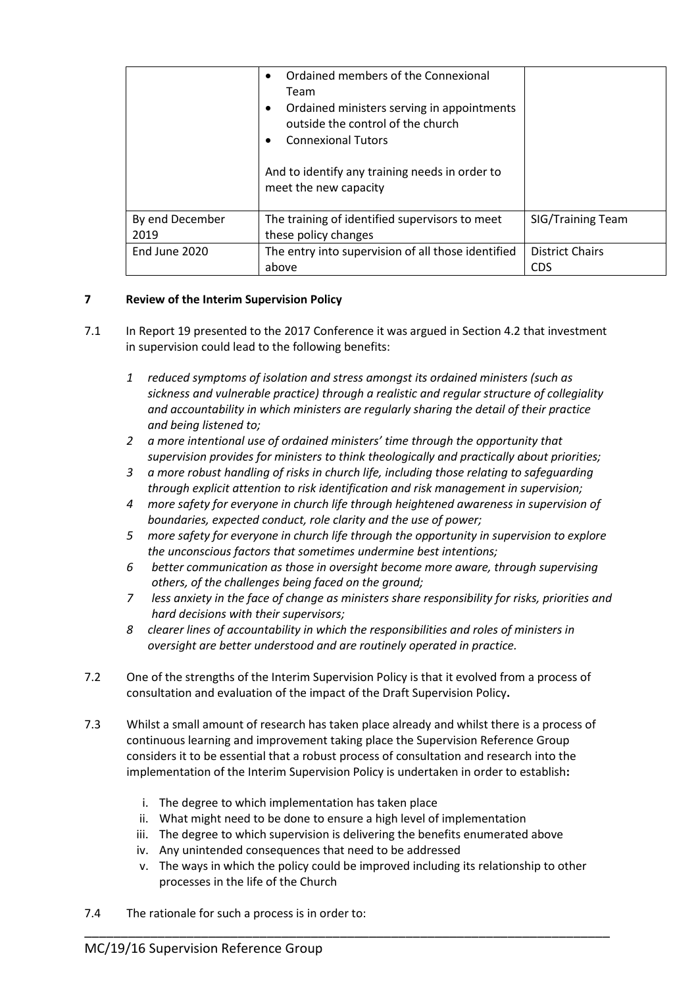|                         | Ordained members of the Connexional<br>$\bullet$<br>Team<br>Ordained ministers serving in appointments<br>$\bullet$<br>outside the control of the church<br><b>Connexional Tutors</b><br>And to identify any training needs in order to<br>meet the new capacity |                                      |
|-------------------------|------------------------------------------------------------------------------------------------------------------------------------------------------------------------------------------------------------------------------------------------------------------|--------------------------------------|
| By end December<br>2019 | The training of identified supervisors to meet<br>these policy changes                                                                                                                                                                                           | <b>SIG/Training Team</b>             |
| End June 2020           | The entry into supervision of all those identified<br>above                                                                                                                                                                                                      | <b>District Chairs</b><br><b>CDS</b> |

## **7 Review of the Interim Supervision Policy**

- 7.1 In Report 19 presented to the 2017 Conference it was argued in Section 4.2 that investment in supervision could lead to the following benefits:
	- *1 reduced symptoms of isolation and stress amongst its ordained ministers (such as sickness and vulnerable practice) through a realistic and regular structure of collegiality and accountability in which ministers are regularly sharing the detail of their practice and being listened to;*
	- *2 a more intentional use of ordained ministers' time through the opportunity that supervision provides for ministers to think theologically and practically about priorities;*
	- *3 a more robust handling of risks in church life, including those relating to safeguarding through explicit attention to risk identification and risk management in supervision;*
	- *4 more safety for everyone in church life through heightened awareness in supervision of boundaries, expected conduct, role clarity and the use of power;*
	- *5 more safety for everyone in church life through the opportunity in supervision to explore the unconscious factors that sometimes undermine best intentions;*
	- *6 better communication as those in oversight become more aware, through supervising others, of the challenges being faced on the ground;*
	- *7 less anxiety in the face of change as ministers share responsibility for risks, priorities and hard decisions with their supervisors;*
	- *8 clearer lines of accountability in which the responsibilities and roles of ministers in oversight are better understood and are routinely operated in practice.*
- 7.2 One of the strengths of the Interim Supervision Policy is that it evolved from a process of consultation and evaluation of the impact of the Draft Supervision Policy**.**
- 7.3 Whilst a small amount of research has taken place already and whilst there is a process of continuous learning and improvement taking place the Supervision Reference Group considers it to be essential that a robust process of consultation and research into the implementation of the Interim Supervision Policy is undertaken in order to establish**:**
	- i. The degree to which implementation has taken place
	- ii. What might need to be done to ensure a high level of implementation
	- iii. The degree to which supervision is delivering the benefits enumerated above

- iv. Any unintended consequences that need to be addressed
- v. The ways in which the policy could be improved including its relationship to other processes in the life of the Church
- 7.4 The rationale for such a process is in order to: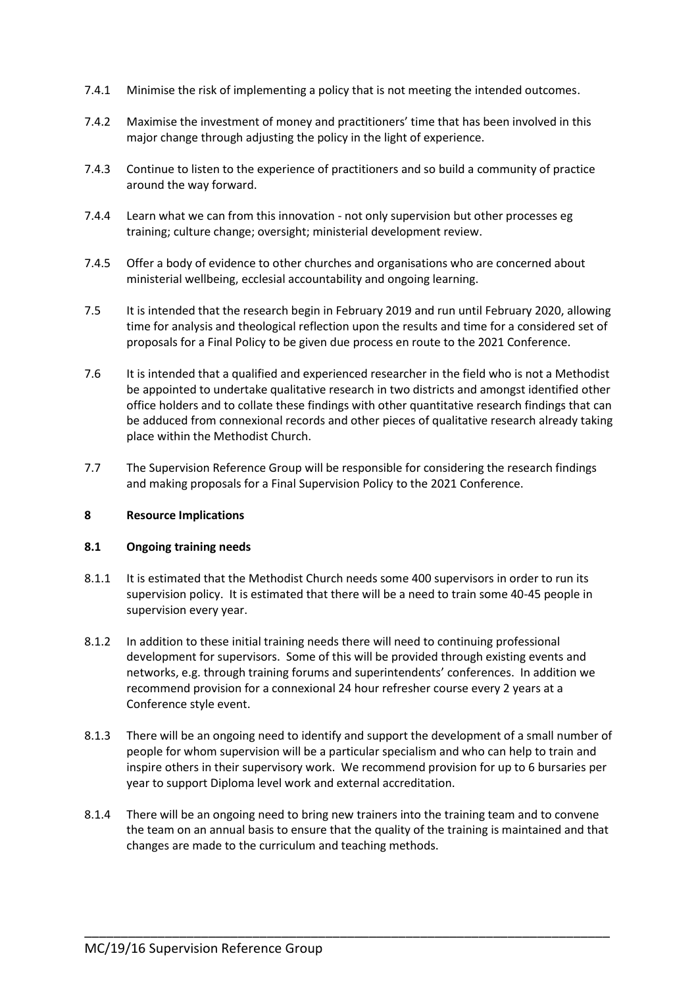- 7.4.1 Minimise the risk of implementing a policy that is not meeting the intended outcomes.
- 7.4.2 Maximise the investment of money and practitioners' time that has been involved in this major change through adjusting the policy in the light of experience.
- 7.4.3 Continue to listen to the experience of practitioners and so build a community of practice around the way forward.
- 7.4.4 Learn what we can from this innovation not only supervision but other processes eg training; culture change; oversight; ministerial development review.
- 7.4.5 Offer a body of evidence to other churches and organisations who are concerned about ministerial wellbeing, ecclesial accountability and ongoing learning.
- 7.5 It is intended that the research begin in February 2019 and run until February 2020, allowing time for analysis and theological reflection upon the results and time for a considered set of proposals for a Final Policy to be given due process en route to the 2021 Conference.
- 7.6 It is intended that a qualified and experienced researcher in the field who is not a Methodist be appointed to undertake qualitative research in two districts and amongst identified other office holders and to collate these findings with other quantitative research findings that can be adduced from connexional records and other pieces of qualitative research already taking place within the Methodist Church.
- 7.7 The Supervision Reference Group will be responsible for considering the research findings and making proposals for a Final Supervision Policy to the 2021 Conference.

#### **8 Resource Implications**

#### **8.1 Ongoing training needs**

- 8.1.1 It is estimated that the Methodist Church needs some 400 supervisors in order to run its supervision policy. It is estimated that there will be a need to train some 40-45 people in supervision every year.
- 8.1.2 In addition to these initial training needs there will need to continuing professional development for supervisors. Some of this will be provided through existing events and networks, e.g. through training forums and superintendents' conferences. In addition we recommend provision for a connexional 24 hour refresher course every 2 years at a Conference style event.
- 8.1.3 There will be an ongoing need to identify and support the development of a small number of people for whom supervision will be a particular specialism and who can help to train and inspire others in their supervisory work. We recommend provision for up to 6 bursaries per year to support Diploma level work and external accreditation.
- 8.1.4 There will be an ongoing need to bring new trainers into the training team and to convene the team on an annual basis to ensure that the quality of the training is maintained and that changes are made to the curriculum and teaching methods.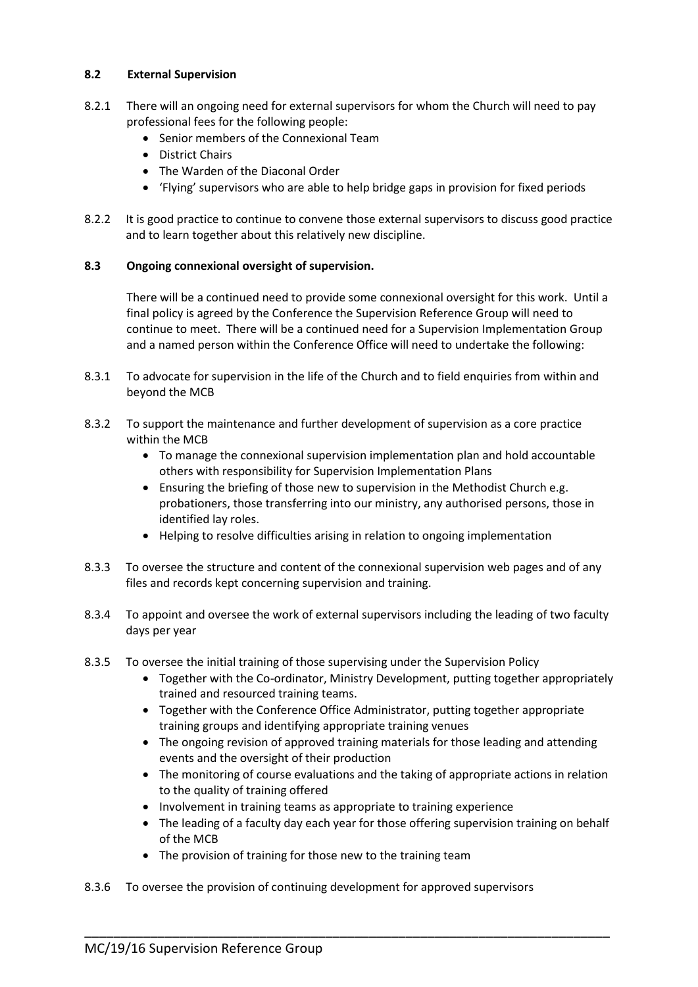### **8.2 External Supervision**

- 8.2.1 There will an ongoing need for external supervisors for whom the Church will need to pay professional fees for the following people:
	- Senior members of the Connexional Team
	- District Chairs
	- The Warden of the Diaconal Order
	- 'Flying' supervisors who are able to help bridge gaps in provision for fixed periods
- 8.2.2 It is good practice to continue to convene those external supervisors to discuss good practice and to learn together about this relatively new discipline.

## **8.3 Ongoing connexional oversight of supervision.**

There will be a continued need to provide some connexional oversight for this work. Until a final policy is agreed by the Conference the Supervision Reference Group will need to continue to meet. There will be a continued need for a Supervision Implementation Group and a named person within the Conference Office will need to undertake the following:

- 8.3.1 To advocate for supervision in the life of the Church and to field enquiries from within and beyond the MCB
- 8.3.2 To support the maintenance and further development of supervision as a core practice within the MCB
	- To manage the connexional supervision implementation plan and hold accountable others with responsibility for Supervision Implementation Plans
	- Ensuring the briefing of those new to supervision in the Methodist Church e.g. probationers, those transferring into our ministry, any authorised persons, those in identified lay roles.
	- Helping to resolve difficulties arising in relation to ongoing implementation
- 8.3.3 To oversee the structure and content of the connexional supervision web pages and of any files and records kept concerning supervision and training.
- 8.3.4 To appoint and oversee the work of external supervisors including the leading of two faculty days per year
- 8.3.5 To oversee the initial training of those supervising under the Supervision Policy
	- Together with the Co-ordinator, Ministry Development, putting together appropriately trained and resourced training teams.
	- Together with the Conference Office Administrator, putting together appropriate training groups and identifying appropriate training venues
	- The ongoing revision of approved training materials for those leading and attending events and the oversight of their production
	- The monitoring of course evaluations and the taking of appropriate actions in relation to the quality of training offered
	- Involvement in training teams as appropriate to training experience

- The leading of a faculty day each year for those offering supervision training on behalf of the MCB
- The provision of training for those new to the training team
- 8.3.6 To oversee the provision of continuing development for approved supervisors